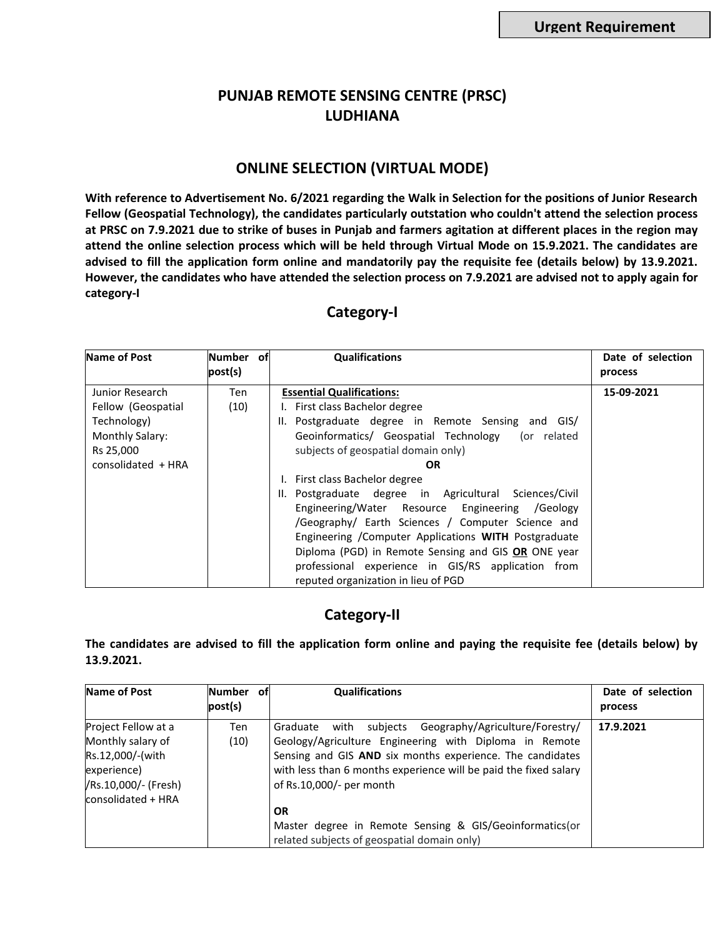## **PUNJAB REMOTE SENSING CENTRE (PRSC) LUDHIANA**

## **ONLINE SELECTION (VIRTUAL MODE)**

**With reference to Advertisement No. 6/2021 regarding the Walk in Selection for the positions of Junior Research Fellow (Geospatial Technology), the candidates particularly outstation who couldn't attend the selection process at PRSC on 7.9.2021 due to strike of buses in Punjab and farmers agitation at different places in the region may attend the online selection process which will be held through Virtual Mode on 15.9.2021. The candidates are advised to fill the application form online and mandatorily pay the requisite fee (details below) by 13.9.2021. However, the candidates who have attended the selection process on 7.9.2021 are advised not to apply again for category-I**

## **Category-I**

| <b>Name of Post</b> | Number of | <b>Qualifications</b>                                  | Date of selection |
|---------------------|-----------|--------------------------------------------------------|-------------------|
|                     | post(s)   |                                                        | process           |
| Junior Research     | Ten       | <b>Essential Qualifications:</b>                       | 15-09-2021        |
| Fellow (Geospatial  | (10)      | I. First class Bachelor degree                         |                   |
| Technology)         |           | II. Postgraduate degree in Remote Sensing and GIS/     |                   |
| Monthly Salary:     |           | Geoinformatics/ Geospatial Technology (or related      |                   |
| Rs 25,000           |           | subjects of geospatial domain only)                    |                   |
| consolidated + HRA  |           | <b>OR</b>                                              |                   |
|                     |           | I. First class Bachelor degree                         |                   |
|                     |           | II. Postgraduate degree in Agricultural Sciences/Civil |                   |
|                     |           | Engineering/Water Resource Engineering /Geology        |                   |
|                     |           | /Geography/ Earth Sciences / Computer Science and      |                   |
|                     |           | Engineering / Computer Applications WITH Postgraduate  |                   |
|                     |           | Diploma (PGD) in Remote Sensing and GIS OR ONE year    |                   |
|                     |           | professional experience in GIS/RS application from     |                   |
|                     |           | reputed organization in lieu of PGD                    |                   |

## **Category-II**

**The candidates are advised to fill the application form online and paying the requisite fee (details below) by 13.9.2021.** 

| Name of Post                                                                                                              | <b>Number</b><br>post(s) | ofl | <b>Qualifications</b>                                                                                                                                                                                                                                                            | Date of selection<br>process |
|---------------------------------------------------------------------------------------------------------------------------|--------------------------|-----|----------------------------------------------------------------------------------------------------------------------------------------------------------------------------------------------------------------------------------------------------------------------------------|------------------------------|
| Project Fellow at a<br>Monthly salary of<br>Rs.12,000/-(with<br>experience)<br>/Rs.10,000/- (Fresh)<br>consolidated + HRA | Ten<br>(10)              |     | with subjects Geography/Agriculture/Forestry/<br>Graduate<br>Geology/Agriculture Engineering with Diploma in Remote<br>Sensing and GIS AND six months experience. The candidates<br>with less than 6 months experience will be paid the fixed salary<br>of Rs.10,000/- per month | 17.9.2021                    |
|                                                                                                                           |                          |     | <b>OR</b><br>Master degree in Remote Sensing & GIS/Geoinformatics(or<br>related subjects of geospatial domain only)                                                                                                                                                              |                              |